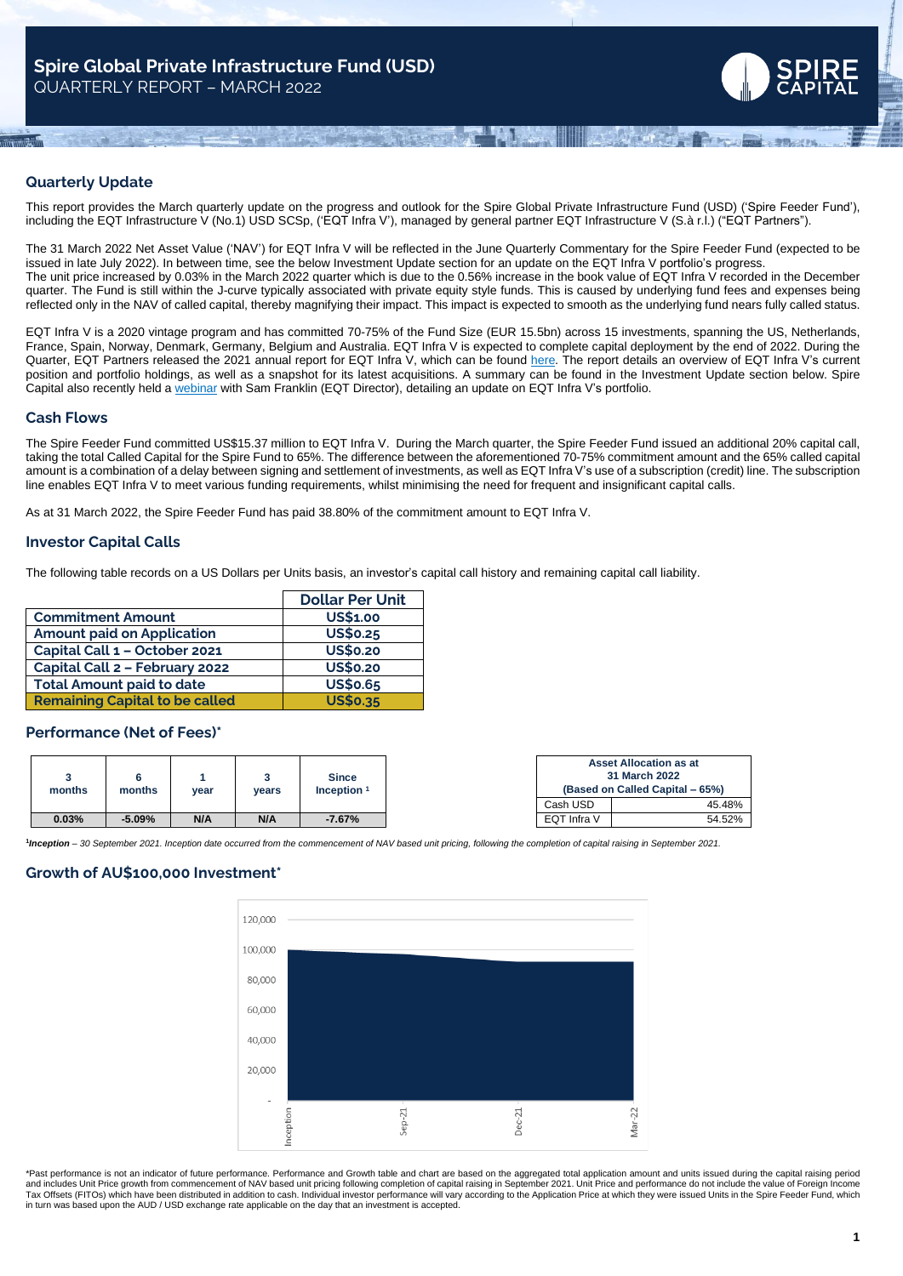

# **Quarterly Update**

This report provides the March quarterly update on the progress and outlook for the Spire Global Private Infrastructure Fund (USD) ('Spire Feeder Fund'), including the EQT Infrastructure V (No.1) USD SCSp, ('EQT Infra V'), managed by general partner EQT Infrastructure V (S.à r.l.) ("EQT Partners").

The 31 March 2022 Net Asset Value ('NAV') for EQT Infra V will be reflected in the June Quarterly Commentary for the Spire Feeder Fund (expected to be issued in late July 2022). In between time, see the below Investment Update section for an update on the EQT Infra V portfolio's progress. The unit price increased by 0.03% in the March 2022 quarter which is due to the 0.56% increase in the book value of EQT Infra V recorded in the December quarter. The Fund is still within the J-curve typically associated with private equity style funds. This is caused by underlying fund fees and expenses being reflected only in the NAV of called capital, thereby magnifying their impact. This impact is expected to smooth as the underlying fund nears fully called status.

EQT Infra V is a 2020 vintage program and has committed 70-75% of the Fund Size (EUR 15.5bn) across 15 investments, spanning the US, Netherlands, France, Spain, Norway, Denmark, Germany, Belgium and Australia. EQT Infra V is expected to complete capital deployment by the end of 2022. During the Quarter, EQT Partners released the 2021 annual report for EQT Infra V, which can be found [here.](https://www.dropbox.com/s/1oy7l48b3wsjp2s/EQT%20INFRASTRUCTURE%20V%20-%20Fund%20Report%20%282022-04-01%29.pdf?dl=0) The report details an overview of EQT Infra V's current position and portfolio holdings, as well as a snapshot for its latest acquisitions. A summary can be found in the Investment Update section below. Spire Capital also recently held a [webinar](https://www.dropbox.com/s/mjph9b18gx82n0i/Spire%20Private%20Infrastructure%20Fund%20Reporting%20Season%20May%202022.mp4?dl=0) with Sam Franklin (EQT Director), detailing an update on EQT Infra V's portfolio.

### **Cash Flows**

The Spire Feeder Fund committed US\$15.37 million to EQT Infra V. During the March quarter, the Spire Feeder Fund issued an additional 20% capital call, taking the total Called Capital for the Spire Fund to 65%. The difference between the aforementioned 70-75% commitment amount and the 65% called capital amount is a combination of a delay between signing and settlement of investments, as well as EQT Infra V's use of a subscription (credit) line. The subscription line enables EQT Infra V to meet various funding requirements, whilst minimising the need for frequent and insignificant capital calls.

As at 31 March 2022, the Spire Feeder Fund has paid 38.80% of the commitment amount to EQT Infra V.

### **Investor Capital Calls**

The following table records on a US Dollars per Units basis, an investor's capital call history and remaining capital call liability.

|                                       | <b>Dollar Per Unit</b> |
|---------------------------------------|------------------------|
| <b>Commitment Amount</b>              | <b>US\$1,00</b>        |
| <b>Amount paid on Application</b>     | <b>US\$0.25</b>        |
| Capital Call 1 - October 2021         | <b>US\$0.20</b>        |
| Capital Call 2 - February 2022        | <b>US\$0.20</b>        |
| <b>Total Amount paid to date</b>      | <b>US\$0.65</b>        |
| <b>Remaining Capital to be called</b> | <b>US\$0.35</b>        |

### **Performance (Net of Fees)\***

|        |          |      |       | <b>Since</b>  |             | Asset Allocation as at<br>31 March 2022 |
|--------|----------|------|-------|---------------|-------------|-----------------------------------------|
| months | months   | vear | vears | Inception $1$ |             | (Based on Called Capital – 65%)         |
|        |          |      |       |               | Cash USD    | 45.48%                                  |
| 0.03%  | $-5.09%$ | N/A  | N/A   | $-7.67%$      | EQT Infra V | 54.52%                                  |

1nception - 30 September 2021. Inception date occurred from the commencement of NAV based unit pricing, following the completion of capital raising in September 2021.

### **Growth of AU\$100,000 Investment\***



\*Past performance is not an indicator of future performance. Performance and Growth table and chart are based on the aggregated total application amount and units issued during the capital raising period and includes Unit Price growth from commencement of NAV based unit pricing following completion of capital raising in September 2021. Unit Price and performance do not include the value of Foreign Income<br>Tax Offsets (FITOs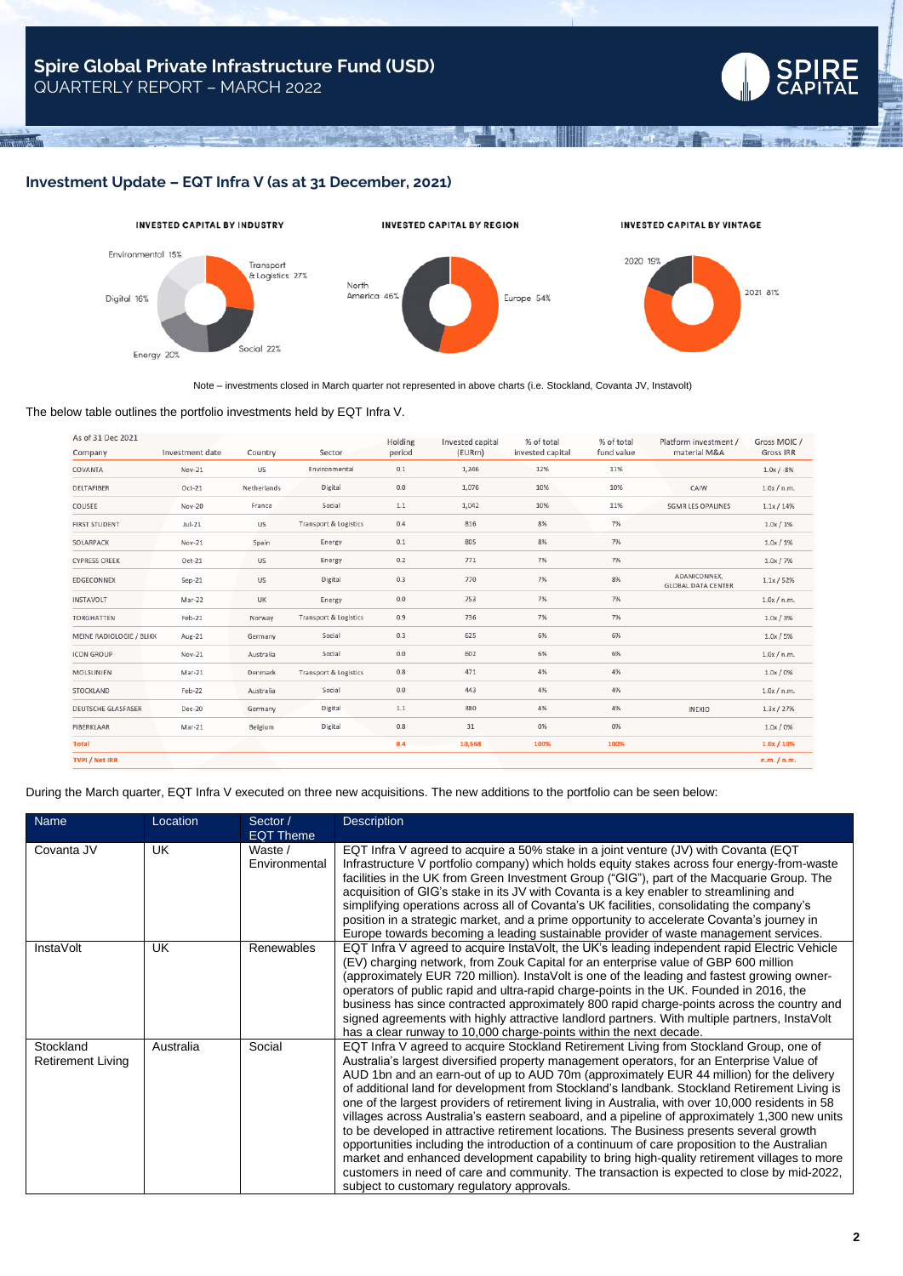

A Final Const

### **Investment Update – EQT Infra V (as at 31 December, 2021)**



**Territory** 

Note – investments closed in March quarter not represented in above charts (i.e. Stockland, Covanta JV, Instavolt)

#### The below table outlines the portfolio investments held by EQT Infra V.

| As of 31 Dec 2021         |                 |             |                                  | Holding | Invested capital | % of total       | % of total | Platform investment /                     | Gross MOIC /     |
|---------------------------|-----------------|-------------|----------------------------------|---------|------------------|------------------|------------|-------------------------------------------|------------------|
| Company                   | Investment date | Country     | Sector                           | period  | (EURm)           | invested capital | fund value | material M&A                              | <b>Gross IRR</b> |
| COVANTA                   | Nov-21          | US          | Environmental                    | 0.1     | 1,246            | 12%              | 11%        |                                           | $1.0x / -8%$     |
| DELTAFIBER                | $Oct-21$        | Netherlands | Digital                          | 0.0     | 1,076            | 10%              | 10%        | CAIW                                      | 1.0x / n.m.      |
| COLISEE                   | Nov-20          | France      | Social                           | $1.1\,$ | 1,042            | 10%              | 11%        | <b>SGMR LES OPALINES</b>                  | 1.1x / 14%       |
| <b>FIRST STUDENT</b>      | $Jul-21$        | US          | <b>Transport &amp; Logistics</b> | 0.4     | 816              | 8%               | 7%         |                                           | 1.0x / 1%        |
| SOLARPACK                 | Nov-21          | Spain       | Energy                           | 0.1     | 805              | 8%               | 7%         |                                           | 1.0x / 1%        |
| <b>CYPRESS CREEK</b>      | $Oct-21$        | US          | Energy                           | 0.2     | 771              | 7%               | 7%         |                                           | 1.0x / 7%        |
| EDGECONNEX                | $Sep-21$        | US          | Digital                          | 0.3     | 770              | 7%               | 8%         | ADANICONNEX,<br><b>GLOBAL DATA CENTER</b> | 1.1x / 52%       |
| INSTAVOLT                 | Mar-22          | UK          | Energy                           | 0.0     | 753              | 7%               | 7%         |                                           | 1.0x/n.m.        |
| <b>TORGHATTEN</b>         | Feb-21          | Norway      | <b>Transport &amp; Logistics</b> | 0.9     | 736              | 7%               | 7%         |                                           | 1.0x / 3%        |
| MEINE RADIOLOGIE / BLIKK  | Aug-21          | Germany     | Social                           | 0.3     | 625              | 6%               | 6%         |                                           | 1.0x / 5%        |
| <b>ICON GROUP</b>         | Nov-21          | Australia   | Social                           | 0.0     | 602              | 6%               | 6%         |                                           | 1.0x / n.m.      |
| MOLSLINJEN                | Mar-21          | Denmark     | <b>Transport &amp; Logistics</b> | 0.8     | 471              | 4%               | 4%         |                                           | 1.0x/0%          |
| STOCKLAND                 | Feb-22          | Australia   | Social                           | 0.0     | 443              | 4%               | 4%         |                                           | 1.0x/n.m.        |
| <b>DEUTSCHE GLASFASER</b> | <b>Dec-20</b>   | Germany     | Digital                          | $1.1\,$ | 380              | 4%               | 4%         | <b>INEXIO</b>                             | 1.3x / 27%       |
| FIBERKLAAR                | Mar-21          | Belgium     | Digital                          | 0.8     | 31               | 0%               | 0%         |                                           | $1.0x / 0\%$     |
| <b>Total</b>              |                 |             |                                  | 0.4     | 10,568           | 100%             | 100%       |                                           | $1.0x / 10\%$    |
| <b>TVPI / Net IRR</b>     |                 |             |                                  |         |                  |                  |            |                                           | n.m. / n.m.      |
|                           |                 |             |                                  |         |                  |                  |            |                                           |                  |

During the March quarter, EQT Infra V executed on three new acquisitions. The new additions to the portfolio can be seen below:

| Name                                  | Location  | Sector /<br><b>EQT Theme</b> | <b>Description</b>                                                                                                                                                                                                                                                                                                                                                                                                                                                                                                                                                                                                                                                                                                                                                                                                                                                                                                                                                                                                            |
|---------------------------------------|-----------|------------------------------|-------------------------------------------------------------------------------------------------------------------------------------------------------------------------------------------------------------------------------------------------------------------------------------------------------------------------------------------------------------------------------------------------------------------------------------------------------------------------------------------------------------------------------------------------------------------------------------------------------------------------------------------------------------------------------------------------------------------------------------------------------------------------------------------------------------------------------------------------------------------------------------------------------------------------------------------------------------------------------------------------------------------------------|
| Covanta JV                            | <b>UK</b> | Waste /<br>Environmental     | EQT Infra V agreed to acquire a 50% stake in a joint venture (JV) with Covanta (EQT<br>Infrastructure V portfolio company) which holds equity stakes across four energy-from-waste<br>facilities in the UK from Green Investment Group ("GIG"), part of the Macquarie Group. The<br>acquisition of GIG's stake in its JV with Covanta is a key enabler to streamlining and<br>simplifying operations across all of Covanta's UK facilities, consolidating the company's<br>position in a strategic market, and a prime opportunity to accelerate Covanta's journey in<br>Europe towards becoming a leading sustainable provider of waste management services.                                                                                                                                                                                                                                                                                                                                                                 |
| <b>InstaVolt</b>                      | UK        | Renewables                   | EQT Infra V agreed to acquire InstaVolt, the UK's leading independent rapid Electric Vehicle<br>(EV) charging network, from Zouk Capital for an enterprise value of GBP 600 million<br>(approximately EUR 720 million). InstaVolt is one of the leading and fastest growing owner-<br>operators of public rapid and ultra-rapid charge-points in the UK. Founded in 2016, the<br>business has since contracted approximately 800 rapid charge-points across the country and<br>signed agreements with highly attractive landlord partners. With multiple partners, InstaVolt<br>has a clear runway to 10,000 charge-points within the next decade.                                                                                                                                                                                                                                                                                                                                                                            |
| Stockland<br><b>Retirement Living</b> | Australia | Social                       | EQT Infra V agreed to acquire Stockland Retirement Living from Stockland Group, one of<br>Australia's largest diversified property management operators, for an Enterprise Value of<br>AUD 1bn and an earn-out of up to AUD 70m (approximately EUR 44 million) for the delivery<br>of additional land for development from Stockland's landbank. Stockland Retirement Living is<br>one of the largest providers of retirement living in Australia, with over 10,000 residents in 58<br>villages across Australia's eastern seaboard, and a pipeline of approximately 1,300 new units<br>to be developed in attractive retirement locations. The Business presents several growth<br>opportunities including the introduction of a continuum of care proposition to the Australian<br>market and enhanced development capability to bring high-quality retirement villages to more<br>customers in need of care and community. The transaction is expected to close by mid-2022,<br>subject to customary regulatory approvals. |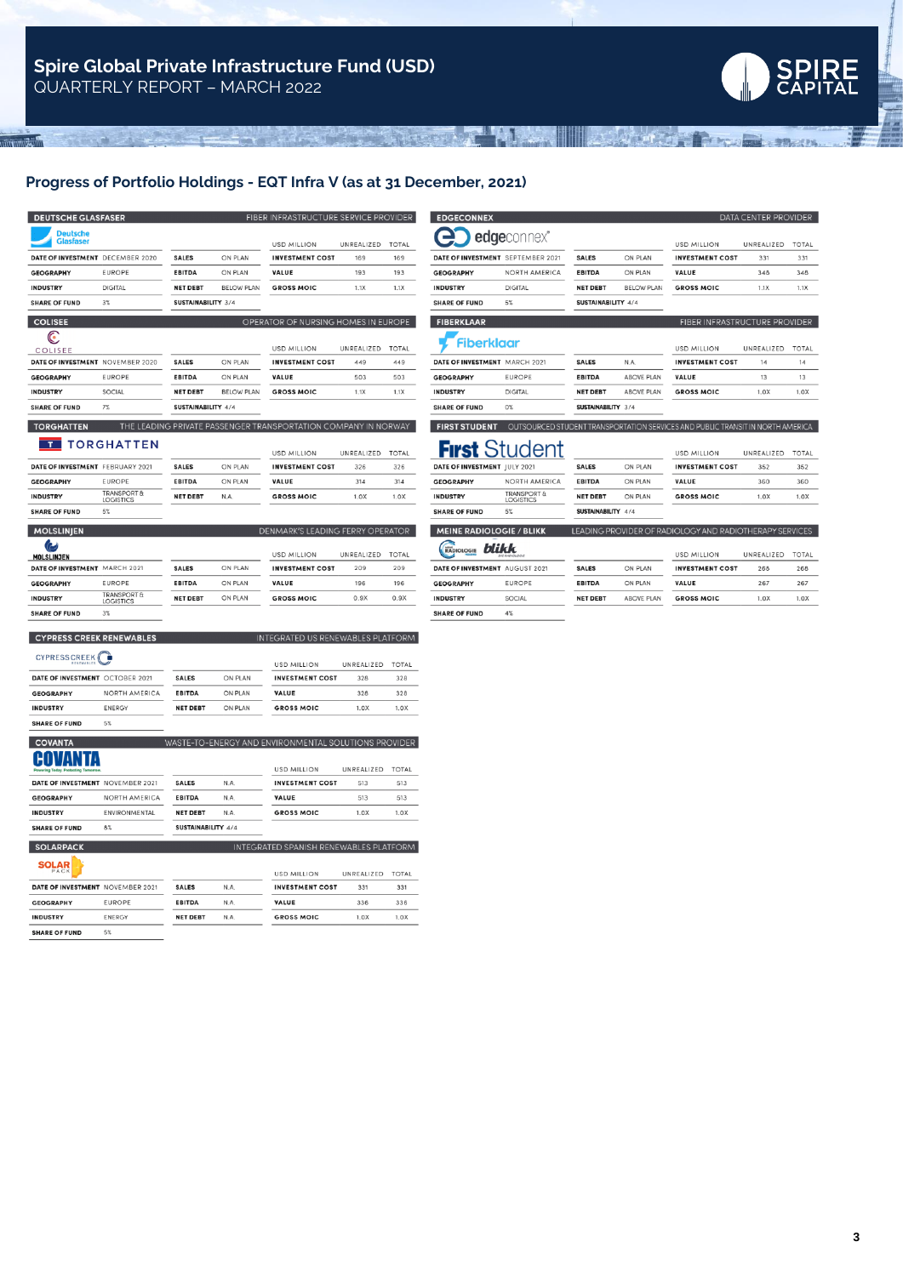

ad announ

# **Progress of Portfolio Holdings - EQT Infra V (as at 31 December, 2021)**

A LOCAL TELETY LARGED AND THE MAIN A

| <b>DEUTSCHE GLASFASER</b>           |                                            |                    |                   | FIBER INFRASTRUCTURE SERVICE PROVIDER                          |            |              |
|-------------------------------------|--------------------------------------------|--------------------|-------------------|----------------------------------------------------------------|------------|--------------|
| <b>Deutsche</b><br><b>Glasfaser</b> |                                            |                    |                   | <b>USD MILLION</b>                                             | UNREALIZED | TOTAL        |
|                                     | DATE OF INVESTMENT DECEMBER 2020           | SALES              | ON PLAN           | <b>INVESTMENT COST</b>                                         | 169        | 169          |
| <b>GEOGRAPHY</b>                    | <b>EUROPE</b>                              | <b>EBITDA</b>      | ON PLAN           | VALUE                                                          | 193        | 193          |
| <b>INDUSTRY</b>                     | <b>DIGITAL</b>                             | <b>NET DEBT</b>    | <b>BELOW PLAN</b> | <b>GROSS MOIC</b>                                              | 1.1X       | 1.1X         |
| <b>SHARE OF FUND</b>                | 3%                                         | SUSTAINABILITY 3/4 |                   |                                                                |            |              |
| <b>COLISEE</b>                      |                                            |                    |                   | OPERATOR OF NURSING HOMES IN EUROPE                            |            |              |
| €                                   |                                            |                    |                   |                                                                |            |              |
| COLISEE                             |                                            |                    |                   | <b>USD MILLION</b>                                             | UNREALIZED | <b>TOTAL</b> |
|                                     | DATE OF INVESTMENT NOVEMBER 2020           | <b>SALES</b>       | ON PLAN           | <b>INVESTMENT COST</b>                                         | 449        | 449          |
| <b>GEOGRAPHY</b>                    | <b>FUROPE</b>                              | <b>EBITDA</b>      | ON PLAN           | VALUE                                                          | 503        | 503          |
| <b>INDUSTRY</b>                     | SOCIAL                                     | <b>NET DEBT</b>    | <b>BELOW PLAN</b> | <b>GROSS MOIC</b>                                              | 1.1X       | 1.1X         |
| <b>SHARE OF FUND</b>                | 7%                                         | SUSTAINABILITY 4/4 |                   |                                                                |            |              |
| <b>TORGHATTEN</b>                   |                                            |                    |                   | THE LEADING PRIVATE PASSENGER TRANSPORTATION COMPANY IN NORWAY |            |              |
|                                     | <b>TORGHATTEN</b>                          |                    |                   |                                                                |            |              |
|                                     |                                            |                    |                   | <b>USD MILLION</b>                                             | UNREALIZED | <b>TOTAL</b> |
| DATE OF INVESTMENT FEBRUARY 2021    |                                            | <b>SALES</b>       | ON PLAN           | <b>INVESTMENT COST</b>                                         | 326        | 326          |
| <b>GEOGRAPHY</b>                    | <b>EUROPE</b>                              | <b>EBITDA</b>      | ON PLAN           | VALUE                                                          | 314        | 314          |
| <b>INDUSTRY</b>                     | <b>TRANSPORT &amp;</b><br><b>LOGISTICS</b> | <b>NET DEBT</b>    | N.A.              | <b>GROSS MOIC</b>                                              | 1.0X       | 1.0X         |

| <b>SHARE OF FUND</b> | 5%                                         |                 |         |                                  |            |              |
|----------------------|--------------------------------------------|-----------------|---------|----------------------------------|------------|--------------|
| <b>MOLSLINIEN</b>    |                                            |                 |         | DENMARK'S LEADING FERRY OPERATOR |            |              |
| پي<br>MOLSLINJEN     |                                            |                 |         | USD MILLION                      | UNREALIZED | <b>TOTAL</b> |
| DATE OF INVESTMENT   | <b>MARCH 2021</b>                          | <b>SALES</b>    | ON PLAN | <b>INVESTMENT COST</b>           | 209        | 209          |
| <b>GEOGRAPHY</b>     | <b>EUROPE</b>                              | <b>EBITDA</b>   | ON PLAN | VALUE                            | 196        | 196          |
| <b>INDUSTRY</b>      | <b>TRANSPORT &amp;</b><br><b>LOGISTICS</b> | <b>NET DEBT</b> | ON PLAN | <b>GROSS MOIC</b>                | 0.9X       | 0.9X         |
| <b>SHARE OF FUND</b> | $3\%$                                      |                 |         |                                  |            |              |

# **CYPRESS CREEK RENEWABLES**

| CYPRESS CREEK (                 |               |                 |         | <b>USD MILLION</b>     | UNREALIZED | <b>TOTAL</b> |
|---------------------------------|---------------|-----------------|---------|------------------------|------------|--------------|
| DATE OF INVESTMENT OCTOBER 2021 |               | <b>SALES</b>    | ON PLAN | <b>INVESTMENT COST</b> | 328        | 328          |
| <b>GEOGRAPHY</b>                | NORTH AMERICA | <b>EBITDA</b>   | ON PLAN | <b>VALUE</b>           | 328        | 328          |
| <b>INDUSTRY</b>                 | <b>ENERGY</b> | <b>NET DEBT</b> | ON PLAN | <b>GROSS MOIC</b>      | 1.0X       | 1.0X         |
| <b>SHARE OF FUND</b>            | 5%            |                 |         |                        |            |              |

INTEGRATED US RENEWABLES PLATFORM

| <b>COVANTA</b>                                                |                      | WASTE-TO-ENERGY AND ENVIRONMENTAL SOLUTIONS PROVIDER |      |                                        |            |              |  |
|---------------------------------------------------------------|----------------------|------------------------------------------------------|------|----------------------------------------|------------|--------------|--|
| <b>COVANTA</b><br><b>Powering Today. Protecting Tomorrow.</b> |                      |                                                      |      | <b>USD MILLION</b>                     | UNREALIZED | <b>TOTAL</b> |  |
| DATE OF INVESTMENT NOVEMBER 2021                              |                      | <b>SALES</b>                                         | N.A. | <b>INVESTMENT COST</b>                 | 513        | 513          |  |
| <b>GEOGRAPHY</b>                                              | <b>NORTH AMERICA</b> | <b>EBITDA</b>                                        | N.A. | VALUE                                  | 513        | 513          |  |
| <b>INDUSTRY</b>                                               | <b>ENVIRONMENTAL</b> | <b>NET DEBT</b>                                      | N.A. | <b>GROSS MOIC</b>                      | 1.0X       | 1.0X         |  |
| <b>SHARE OF FUND</b>                                          | 8%                   | SUSTAINABILITY 4/4                                   |      |                                        |            |              |  |
| <b>SOLARPACK</b>                                              |                      |                                                      |      | INTEGRATED SPANISH RENEWABLES PLATFORM |            |              |  |

| <b>SOLAR</b><br>PACK             |               |                 |      | <b>USD MILLION</b>     | UNREALIZED | <b>TOTAL</b> |
|----------------------------------|---------------|-----------------|------|------------------------|------------|--------------|
| DATE OF INVESTMENT NOVEMBER 2021 |               | <b>SALES</b>    | N.A. | <b>INVESTMENT COST</b> | 331        | 331          |
| <b>GEOGRAPHY</b>                 | <b>FUROPE</b> | <b>EBITDA</b>   | N.A. | VALUE                  | 336        | 336          |
| <b>INDUSTRY</b>                  | <b>ENERGY</b> | <b>NET DEBT</b> | N.A. | <b>GROSS MOIC</b>      | 1.0X       | 1.0X         |
|                                  | ---           |                 |      |                        |            |              |

**SHARE OF FUND**  $5\%$ 

| <b>EDGECONNEX</b>                 |                                            |                    |                   |                                                                                               | DATA CENTER PROVIDER |              |
|-----------------------------------|--------------------------------------------|--------------------|-------------------|-----------------------------------------------------------------------------------------------|----------------------|--------------|
|                                   | edgeconnex®                                |                    |                   | <b>USD MILLION</b>                                                                            | UNREALIZED           | <b>TOTAL</b> |
| DATE OF INVESTMENT SEPTEMBER 2021 |                                            | <b>SALES</b>       | ON PLAN           | <b>INVESTMENT COST</b>                                                                        | 331                  | 331          |
| <b>GEOGRAPHY</b>                  | <b>NORTH AMERICA</b>                       | <b>EBITDA</b>      | ON PLAN           | VALUE                                                                                         | 348                  | 348          |
| <b>INDUSTRY</b>                   | <b>DIGITAL</b>                             | <b>NET DEBT</b>    | <b>BELOW PLAN</b> | <b>GROSS MOIC</b>                                                                             | 1.1X                 | 1.1X         |
| <b>SHARE OF FUND</b>              | 5%                                         | SUSTAINABILITY 4/4 |                   |                                                                                               |                      |              |
| <b>FIBERKLAAR</b>                 |                                            |                    |                   | FIBER INFRASTRUCTURE PROVIDER                                                                 |                      |              |
| Fiberklaar                        |                                            |                    |                   | USD MILLION                                                                                   | UNREALIZED           | <b>TOTAL</b> |
| DATE OF INVESTMENT MARCH 2021     |                                            | <b>SALES</b>       | N.A.              | <b>INVESTMENT COST</b>                                                                        | 14                   | 14           |
| <b>GEOGRAPHY</b>                  | <b>EUROPE</b>                              | <b>EBITDA</b>      | <b>ABOVE PLAN</b> | VALUE                                                                                         | 13                   | 13           |
| <b>INDUSTRY</b>                   | <b>DIGITAL</b>                             | <b>NET DEBT</b>    | <b>ABOVE PLAN</b> | <b>GROSS MOIC</b>                                                                             | 1.0X                 | 1.0X         |
| <b>SHARE OF FUND</b>              | $0\%$                                      | SUSTAINABILITY 3/4 |                   |                                                                                               |                      |              |
| <b>FIRST STUDENT</b>              | First Student                              |                    |                   | OUTSOURCED STUDENT TRANSPORTATION SERVICES AND PUBLIC TRANSIT IN NORTH AMERICA<br>USD MILLION | UNREALIZED           | <b>TOTAL</b> |
| DATE OF INVESTMENT JULY 2021      |                                            | <b>SALES</b>       | ON PLAN           | <b>INVESTMENT COST</b>                                                                        | 352                  | 352          |
| <b>GEOGRAPHY</b>                  | <b>NORTH AMERICA</b>                       | <b>EBITDA</b>      | ON PLAN           | VALUE                                                                                         | 360                  | 360          |
| <b>INDUSTRY</b>                   | <b>TRANSPORT &amp;</b><br><b>LOGISTICS</b> | <b>NET DEBT</b>    | ON PLAN           | <b>GROSS MOIC</b>                                                                             | 1.0X                 | 1.0X         |
| <b>SHARE OF FUND</b>              | 5%                                         | SUSTAINABILITY 4/4 |                   |                                                                                               |                      |              |
| <b>MEINE RADIOLOGIE / BLIKK</b>   |                                            |                    |                   | LEADING PROVIDER OF RADIOLOGY AND RADIOTHERAPY SERVICES                                       |                      |              |
| blikk<br>RADIOLOGIE               | <b>DIT BADICK OCUP</b>                     |                    |                   | <b>USD MILLION</b>                                                                            | UNREALIZED           | <b>TOTAL</b> |
| DATE OF INVESTMENT AUGUST 2021    |                                            | <b>SALES</b>       | ON PLAN           | <b>INVESTMENT COST</b>                                                                        | 268                  | 268          |
| <b>GEOGRAPHY</b>                  | <b>EUROPE</b>                              | <b>EBITDA</b>      | ON PLAN           | VALUE                                                                                         | 267                  | 267          |

**NET DEBT** 

ABOVE PLAN

**INDUSTRY** 

**SHARE OF FUND** 

SOCIAL

 $4\%$ 

嚇

THE

All Middle Press

**GROSS MOIC** 

 $1.0X$ 

 $1.0X$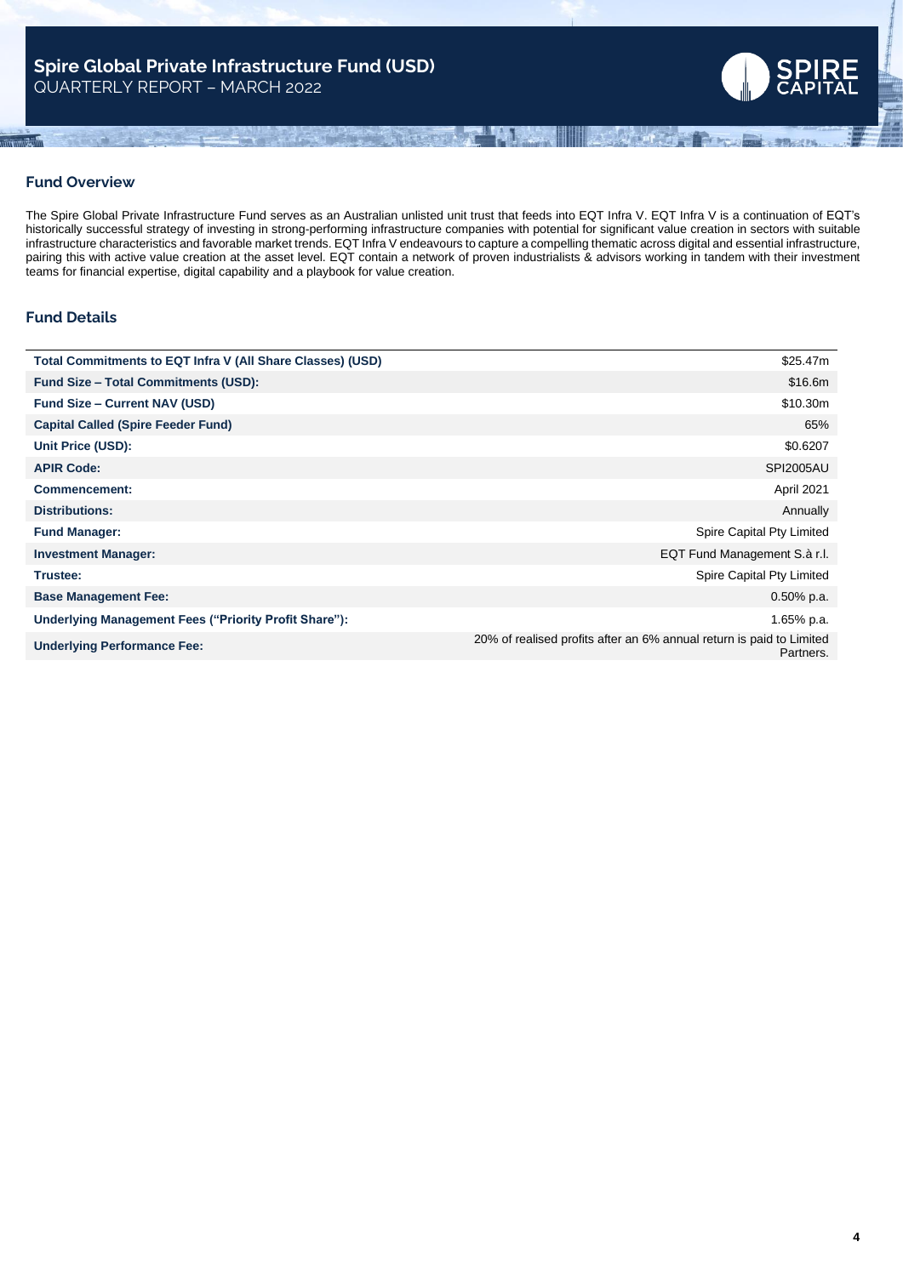

## **Fund Overview**

The Spire Global Private Infrastructure Fund serves as an Australian unlisted unit trust that feeds into EQT Infra V. EQT Infra V is a continuation of EQT's historically successful strategy of investing in strong-performing infrastructure companies with potential for significant value creation in sectors with suitable infrastructure characteristics and favorable market trends. EQT Infra V endeavours to capture a compelling thematic across digital and essential infrastructure, pairing this with active value creation at the asset level. EQT contain a network of proven industrialists & advisors working in tandem with their investment teams for financial expertise, digital capability and a playbook for value creation.

# **Fund Details**

| Total Commitments to EQT Infra V (All Share Classes) (USD) | \$25.47m                                                                          |
|------------------------------------------------------------|-----------------------------------------------------------------------------------|
| <b>Fund Size – Total Commitments (USD):</b>                | \$16.6m                                                                           |
| <b>Fund Size - Current NAV (USD)</b>                       | \$10.30m                                                                          |
| <b>Capital Called (Spire Feeder Fund)</b>                  | 65%                                                                               |
| Unit Price (USD):                                          | \$0.6207                                                                          |
| <b>APIR Code:</b>                                          | <b>SPI2005AU</b>                                                                  |
| <b>Commencement:</b>                                       | April 2021                                                                        |
| <b>Distributions:</b>                                      | Annually                                                                          |
| <b>Fund Manager:</b>                                       | Spire Capital Pty Limited                                                         |
| <b>Investment Manager:</b>                                 | EQT Fund Management S.à r.l.                                                      |
| Trustee:                                                   | Spire Capital Pty Limited                                                         |
| <b>Base Management Fee:</b>                                | $0.50\%$ p.a.                                                                     |
| Underlying Management Fees ("Priority Profit Share"):      | 1.65% p.a.                                                                        |
| <b>Underlying Performance Fee:</b>                         | 20% of realised profits after an 6% annual return is paid to Limited<br>Partners. |